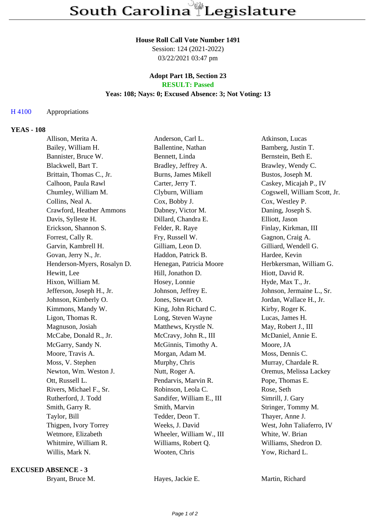#### **House Roll Call Vote Number 1491**

Session: 124 (2021-2022) 03/22/2021 03:47 pm

## **Adopt Part 1B, Section 23 RESULT: Passed**

## **Yeas: 108; Nays: 0; Excused Absence: 3; Not Voting: 13**

## H 4100 Appropriations

## **YEAS - 108**

| Allison, Merita A.          | Anderson, Carl L.         | Atkinson, Lucas              |
|-----------------------------|---------------------------|------------------------------|
| Bailey, William H.          | Ballentine, Nathan        | Bamberg, Justin T.           |
| Bannister, Bruce W.         | Bennett, Linda            | Bernstein, Beth E.           |
| Blackwell, Bart T.          | Bradley, Jeffrey A.       | Brawley, Wendy C.            |
| Brittain, Thomas C., Jr.    | Burns, James Mikell       | Bustos, Joseph M.            |
| Calhoon, Paula Rawl         | Carter, Jerry T.          | Caskey, Micajah P., IV       |
| Chumley, William M.         | Clyburn, William          | Cogswell, William Scott, Jr. |
| Collins, Neal A.            | Cox, Bobby J.             | Cox, Westley P.              |
| Crawford, Heather Ammons    | Dabney, Victor M.         | Daning, Joseph S.            |
| Davis, Sylleste H.          | Dillard, Chandra E.       | Elliott, Jason               |
| Erickson, Shannon S.        | Felder, R. Raye           | Finlay, Kirkman, III         |
| Forrest, Cally R.           | Fry, Russell W.           | Gagnon, Craig A.             |
| Garvin, Kambrell H.         | Gilliam, Leon D.          | Gilliard, Wendell G.         |
| Govan, Jerry N., Jr.        | Haddon, Patrick B.        | Hardee, Kevin                |
| Henderson-Myers, Rosalyn D. | Henegan, Patricia Moore   | Herbkersman, William G.      |
| Hewitt, Lee                 | Hill, Jonathon D.         | Hiott, David R.              |
| Hixon, William M.           | Hosey, Lonnie             | Hyde, Max T., Jr.            |
| Jefferson, Joseph H., Jr.   | Johnson, Jeffrey E.       | Johnson, Jermaine L., Sr.    |
| Johnson, Kimberly O.        | Jones, Stewart O.         | Jordan, Wallace H., Jr.      |
| Kimmons, Mandy W.           | King, John Richard C.     | Kirby, Roger K.              |
| Ligon, Thomas R.            | Long, Steven Wayne        | Lucas, James H.              |
| Magnuson, Josiah            | Matthews, Krystle N.      | May, Robert J., III          |
| McCabe, Donald R., Jr.      | McCravy, John R., III     | McDaniel, Annie E.           |
| McGarry, Sandy N.           | McGinnis, Timothy A.      | Moore, JA                    |
| Moore, Travis A.            | Morgan, Adam M.           | Moss, Dennis C.              |
| Moss, V. Stephen            | Murphy, Chris             | Murray, Chardale R.          |
| Newton, Wm. Weston J.       | Nutt, Roger A.            | Oremus, Melissa Lackey       |
| Ott, Russell L.             | Pendarvis, Marvin R.      | Pope, Thomas E.              |
| Rivers, Michael F., Sr.     | Robinson, Leola C.        | Rose, Seth                   |
| Rutherford, J. Todd         | Sandifer, William E., III | Simrill, J. Gary             |
| Smith, Garry R.             | Smith, Marvin             | Stringer, Tommy M.           |
| Taylor, Bill                | Tedder, Deon T.           | Thayer, Anne J.              |
| Thigpen, Ivory Torrey       | Weeks, J. David           | West, John Taliaferro, IV    |
| Wetmore, Elizabeth          | Wheeler, William W., III  | White, W. Brian              |
| Whitmire, William R.        | Williams, Robert Q.       | Williams, Shedron D.         |
| Willis, Mark N.             | Wooten, Chris             | Yow, Richard L.              |

#### **EXCUSED ABSENCE - 3**

Bryant, Bruce M. **Hayes, Jackie E.** Martin, Richard